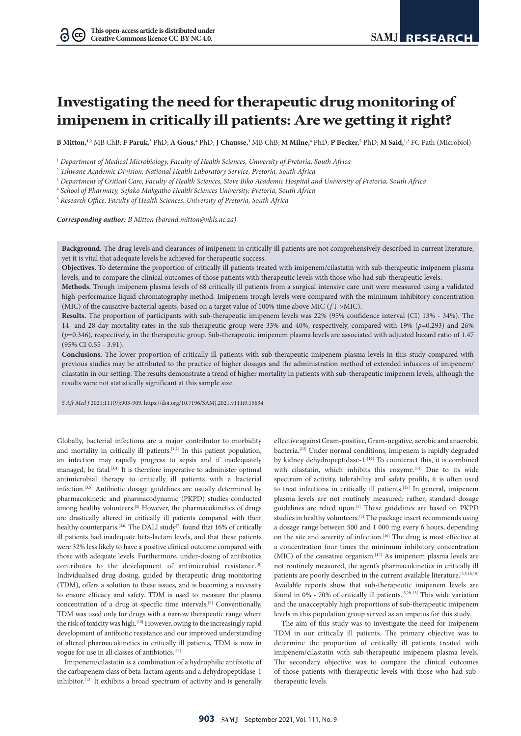$\Omega$  (cc)

# **Investigating the need for therapeutic drug monitoring of imipenem in critically ill patients: Are we getting it right?**

**B Mitton,**<sup>1,2</sup> MB ChB; **F Paruk,**<sup>3</sup> PhD; **A Gous,**<sup>4</sup> PhD; **J Chausse**,<sup>3</sup> MB ChB; **M Milne,**<sup>4</sup> PhD; **P Becker**,<sup>5</sup> PhD; **M Said,**<sup>1,2</sup> FC Path (Microbiol)

<sup>1</sup> *Department of Medical Microbiology, Faculty of Health Sciences, University of Pretoria, South Africa*

<sup>2</sup> *Tshwane Academic Division, National Health Laboratory Service, Pretoria, South Africa*

<sup>3</sup> *Department of Critical Care, Faculty of Health Sciences, Steve Biko Academic Hospital and University of Pretoria, South Africa*

<sup>4</sup> *School of Pharmacy, Sefako Makgatho Health Sciences University, Pretoria, South Africa*

<sup>5</sup> *Research Office, Faculty of Health Sciences, University of Pretoria, South Africa*

*Corresponding author: B Mitton ([barend.mitton@nhls.ac.za](mailto:barend.mitton@nhls.ac.za))* 

**Background.** The drug levels and clearances of imipenem in critically ill patients are not comprehensively described in current literature, yet it is vital that adequate levels be achieved for therapeutic success.

**Objectives.** To determine the proportion of critically ill patients treated with imipenem/cilastatin with sub-therapeutic imipenem plasma levels, and to compare the clinical outcomes of those patients with therapeutic levels with those who had sub-therapeutic levels.

**Methods.** Trough imipenem plasma levels of 68 critically ill patients from a surgical intensive care unit were measured using a validated high-performance liquid chromatography method. Imipenem trough levels were compared with the minimum inhibitory concentration (MIC) of the causative bacterial agents, based on a target value of 100% time above MIC (ƒT >MIC).

**Results.** The proportion of participants with sub-therapeutic imipenem levels was 22% (95% confidence interval (CI) 13% - 34%). The 14- and 28-day mortality rates in the sub-therapeutic group were 33% and 40%, respectively, compared with 19% (*p*=0.293) and 26% (*p*=0.346), respectively, in the therapeutic group. Sub-therapeutic imipenem plasma levels are associated with adjusted hazard ratio of 1.47 (95% CI 0.55 - 3.91).

**Conclusions.** The lower proportion of critically ill patients with sub-therapeutic imipenem plasma levels in this study compared with previous studies may be attributed to the practice of higher dosages and the administration method of extended infusions of imipenem/ cilastatin in our setting. The results demonstrate a trend of higher mortality in patients with sub-therapeutic imipenem levels, although the results were not statistically significant at this sample size.

*S Afr Med J* 2021;111(9):903-909. <https://doi.org/10.7196/SAMJ.2021.v111i9.15634>

Globally, bacterial infections are a major contributor to morbidity and mortality in critically ill patients.<sup>[1,2]</sup> In this patient population, an infection may rapidly progress to sepsis and if inadequately managed, be fatal.<sup>[3,4]</sup> It is therefore imperative to administer optimal antimicrobial therapy to critically ill patients with a bacterial infection.[3,5] Antibiotic dosage guidelines are usually determined by pharmacokinetic and pharmacodynamic (PKPD) studies conducted among healthy volunteers.<sup>[5]</sup> However, the pharmacokinetics of drugs are drastically altered in critically ill patients compared with their healthy counterparts.<sup>[3,6]</sup> The DALI study<sup>[7]</sup> found that 16% of critically ill patients had inadequate beta-lactam levels, and that these patients were 32% less likely to have a positive clinical outcome compared with those with adequate levels. Furthermore, under-dosing of antibiotics contributes to the development of antimicrobial resistance.<sup>[8]</sup> Individualised drug dosing, guided by therapeutic drug monitoring (TDM), offers a solution to these issues, and is becoming a necessity to ensure efficacy and safety. TDM is used to measure the plasma concentration of a drug at specific time intervals.<sup>[9]</sup> Conventionally, TDM was used only for drugs with a narrow therapeutic range where the risk of toxicity was high.<sup>[10]</sup> However, owing to the increasingly rapid development of antibiotic resistance and our improved understanding of altered pharmacokinetics in critically ill patients, TDM is now in vogue for use in all classes of antibiotics.[11]

Imipenem/cilastatin is a combination of a hydrophilic antibiotic of the carbapenem class of beta-lactam agents and a dehydropeptidase-1 inhibitor.[12] It exhibits a broad spectrum of activity and is generally

effective against Gram-positive, Gram-negative, aerobic and anaerobic bacteria.<sup>[13]</sup> Under normal conditions, imipenem is rapidly degraded by kidney dehydropeptidase-1.<sup>[14]</sup> To counteract this, it is combined with cilastatin, which inhibits this enzyme.<sup>[14]</sup> Due to its wide spectrum of activity, tolerability and safety profile, it is often used to treat infections in critically ill patients.[15] In general, imipenem plasma levels are not routinely measured; rather, standard dosage guidelines are relied upon.[5] These guidelines are based on PKPD studies in healthy volunteers.<sup>[5]</sup> The package insert recommends using a dosage range between 500 and 1 000 mg every 6 hours, depending on the site and severity of infection.<sup>[16]</sup> The drug is most effective at a concentration four times the minimum inhibitory concentration (MIC) of the causative organism.<sup>[17]</sup> As imipenem plasma levels are not routinely measured, the agent's pharmacokinetics in critically ill patients are poorly described in the current available literature.<sup>[3,5,18,19]</sup> Available reports show that sub-therapeutic imipenem levels are found in 0% - 70% of critically ill patients.<sup>[5,20-23]</sup> This wide variation and the unacceptably high proportions of sub-therapeutic imipenem levels in this population group served as an impetus for this study.

The aim of this study was to investigate the need for imipenem TDM in our critically ill patients. The primary objective was to determine the proportion of critically ill patients treated with imipenem/cilastatin with sub-therapeutic imipenem plasma levels. The secondary objective was to compare the clinical outcomes of those patients with therapeutic levels with those who had subtherapeutic levels.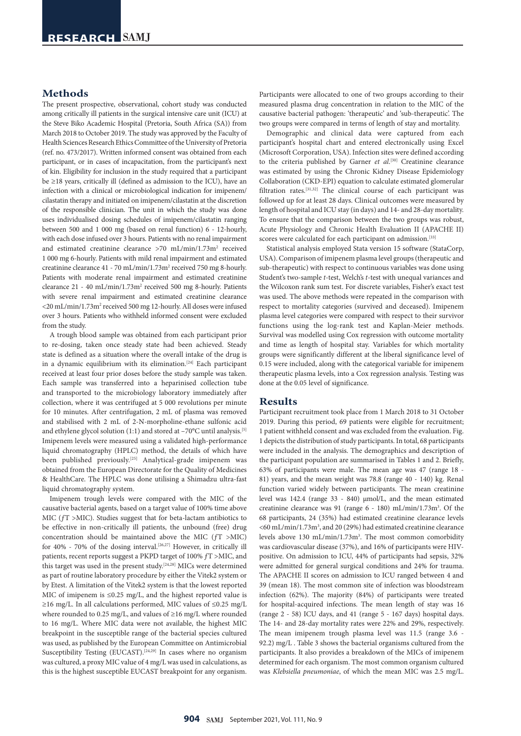## **Methods**

The present prospective, observational, cohort study was conducted among critically ill patients in the surgical intensive care unit (ICU) at the Steve Biko Academic Hospital (Pretoria, South Africa (SA)) from March 2018 to October 2019. The study was approved by the Faculty of Health Sciences Research Ethics Committee of the University of Pretoria (ref. no. 473/2017). Written informed consent was obtained from each participant, or in cases of incapacitation, from the participant's next of kin. Eligibility for inclusion in the study required that a participant be ≥18 years, critically ill (defined as admission to the ICU), have an infection with a clinical or microbiological indication for imipenem/ cilastatin therapy and initiated on imipenem/cilastatin at the discretion of the responsible clinician. The unit in which the study was done uses individualised dosing schedules of imipenem/cilastatin ranging between 500 and 1 000 mg (based on renal function) 6 - 12-hourly, with each dose infused over 3 hours. Patients with no renal impairment and estimated creatinine clearance >70 mL/min/1.73m<sup>2</sup> received 1 000 mg 6-hourly. Patients with mild renal impairment and estimated creatinine clearance 41 - 70 mL/min/1.73m<sup>2</sup> received 750 mg 8-hourly. Patients with moderate renal impairment and estimated creatinine clearance 21 - 40 mL/min/1.73m<sup>2</sup> received 500 mg 8-hourly. Patients with severe renal impairment and estimated creatinine clearance <20 mL/min/1.73m<sup>2</sup> received 500 mg 12-hourly. All doses were infused over 3 hours. Patients who withheld informed consent were excluded from the study.

A trough blood sample was obtained from each participant prior to re-dosing, taken once steady state had been achieved. Steady state is defined as a situation where the overall intake of the drug is in a dynamic equilibrium with its elimination.<sup>[24]</sup> Each participant received at least four prior doses before the study sample was taken. Each sample was transferred into a heparinised collection tube and transported to the microbiology laboratory immediately after collection, where it was centrifuged at 5 000 revolutions per minute for 10 minutes. After centrifugation, 2 mL of plasma was removed and stabilised with 2 mL of 2-N-morpholine-ethane sulfonic acid and ethylene glycol solution (1:1) and stored at -70°C until analysis.<sup>[5]</sup> Imipenem levels were measured using a validated high-performance liquid chromatography (HPLC) method, the details of which have been published previously.<sup>[25]</sup> Analytical-grade imipenem was obtained from the European Directorate for the Quality of Medicines & HealthCare. The HPLC was done utilising a Shimadzu ultra-fast liquid chromatography system.

Imipenem trough levels were compared with the MIC of the causative bacterial agents, based on a target value of 100% time above MIC (ƒT >MIC). Studies suggest that for beta-lactam antibiotics to be effective in non-critically ill patients, the unbound (free) drug concentration should be maintained above the MIC (ƒT >MIC) for 40% - 70% of the dosing interval.<sup>[26,27]</sup> However, in critically ill patients, recent reports suggest a PKPD target of 100% ƒT >MIC, and this target was used in the present study.[24,28] MICs were determined as part of routine laboratory procedure by either the Vitek2 system or by Etest. A limitation of the Vitek2 system is that the lowest reported MIC of imipenem is ≤0.25 mg/L, and the highest reported value is ≥16 mg/L. In all calculations performed, MIC values of ≤0.25 mg/L where rounded to 0.25 mg/L, and values of ≥16 mg/L where rounded to 16 mg/L. Where MIC data were not available, the highest MIC breakpoint in the susceptible range of the bacterial species cultured was used, as published by the European Committee on Antimicrobial Susceptibility Testing (EUCAST).<sup>[24,29]</sup> In cases where no organism was cultured, a proxy MIC value of 4 mg/L was used in calculations, as this is the highest susceptible EUCAST breakpoint for any organism.

Participants were allocated to one of two groups according to their measured plasma drug concentration in relation to the MIC of the causative bacterial pathogen: 'therapeutic' and 'sub-therapeutic'. The two groups were compared in terms of length of stay and mortality.

Demographic and clinical data were captured from each participant's hospital chart and entered electronically using Excel (Microsoft Corporation, USA). Infection sites were defined according to the criteria published by Garner et al.<sup>[30]</sup> Creatinine clearance was estimated by using the Chronic Kidney Disease Epidemiology Collaboration (CKD-EPI) equation to calculate estimated glomerular filtration rates.<sup>[31,32]</sup> The clinical course of each participant was followed up for at least 28 days. Clinical outcomes were measured by length of hospital and ICU stay (in days) and 14- and 28-day mortality. To ensure that the comparison between the two groups was robust, Acute Physiology and Chronic Health Evaluation II (APACHE II) scores were calculated for each participant on admission.[33]

Statistical analysis employed Stata version 15 software (StataCorp, USA). Comparison of imipenem plasma level groups (therapeutic and sub-therapeutic) with respect to continuous variables was done using Student's two-sample *t*-test, Welch's *t*-test with unequal variances and the Wilcoxon rank sum test. For discrete variables, Fisher's exact test was used. The above methods were repeated in the comparison with respect to mortality categories (survived and deceased). Imipenem plasma level categories were compared with respect to their survivor functions using the log-rank test and Kaplan-Meier methods. Survival was modelled using Cox regression with outcome mortality and time as length of hospital stay. Variables for which mortality groups were significantly different at the liberal significance level of 0.15 were included, along with the categorical variable for imipenem therapeutic plasma levels, into a Cox regression analysis. Testing was done at the 0.05 level of significance.

#### **Results**

Participant recruitment took place from 1 March 2018 to 31 October 2019. During this period, 69 patients were eligible for recruitment; 1 patient withheld consent and was excluded from the evaluation. Fig. 1 depicts the distribution of study participants. In total, 68 participants were included in the analysis. The demographics and description of the participant population are summarised in Tables 1 and 2. Briefly, 63% of participants were male. The mean age was 47 (range 18 - 81) years, and the mean weight was 78.8 (range 40 - 140) kg. Renal function varied widely between participants. The mean creatinine level was 142.4 (range 33 - 840) µmol/L, and the mean estimated creatinine clearance was 91 (range 6 - 180) mL/min/1.73m3 . Of the 68 participants, 24 (35%) had estimated creatinine clearance levels <60 mL/min/1.73m<sup>3</sup>, and 20 (29%) had estimated creatinine clearance levels above 130 mL/min/1.73m<sup>3</sup>. The most common comorbidity was cardiovascular disease (37%), and 16% of participants were HIVpositive. On admission to ICU, 44% of participants had sepsis, 32% were admitted for general surgical conditions and 24% for trauma. The APACHE II scores on admission to ICU ranged between 4 and 39 (mean 18). The most common site of infection was bloodstream infection (62%). The majority (84%) of participants were treated for hospital-acquired infections. The mean length of stay was 16 (range 2 - 58) ICU days, and 41 (range 5 - 167 days) hospital days. The 14- and 28-day mortality rates were 22% and 29%, respectively. The mean imipenem trough plasma level was 11.5 (range 3.6 - 92.2) mg/L . Table 3 shows the bacterial organisms cultured from the participants. It also provides a breakdown of the MICs of imipenem determined for each organism. The most common organism cultured was *Klebsiella pneumoniae*, of which the mean MIC was 2.5 mg/L.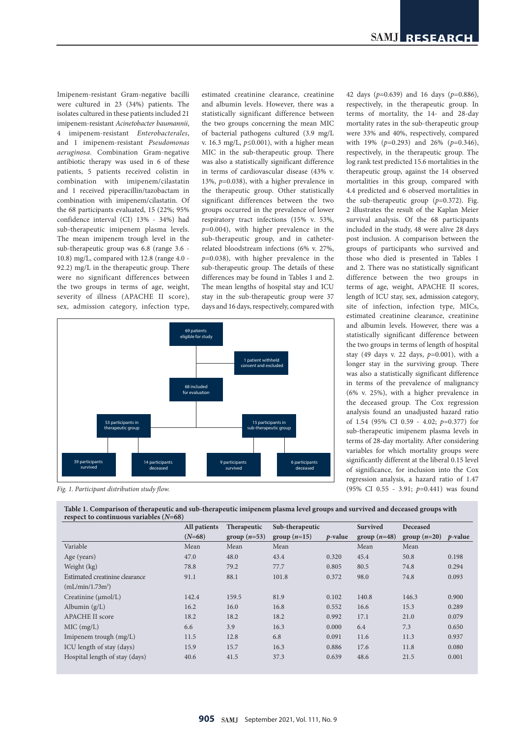Imipenem-resistant Gram-negative bacilli were cultured in 23 (34%) patients. The isolates cultured in these patients included 21 imipenem-resistant *Acinetobacter baumannii*, 4 imipenem-resistant *Enterobacterales*, and 1 imipenem-resistant *Pseudomonas aeruginosa*. Combination Gram-negative antibiotic therapy was used in 6 of these patients, 5 patients received colistin in combination with imipenem/cilastatin and 1 received piperacillin/tazobactam in combination with imipenem/cilastatin. Of the 68 participants evaluated, 15 (22%; 95% confidence interval (CI) 13% - 34%) had sub-therapeutic imipenem plasma levels. The mean imipenem trough level in the sub-therapeutic group was 6.8 (range 3.6 - 10.8) mg/L, compared with 12.8 (range 4.0 - 92.2) mg/L in the therapeutic group. There were no significant differences between the two groups in terms of age, weight, severity of illness (APACHE II score), sex, admission category, infection type,

estimated creatinine clearance, creatinine and albumin levels. However, there was a statistically significant difference between the two groups concerning the mean MIC of bacterial pathogens cultured (3.9 mg/L v. 16.3 mg/L, *p*≤0.001), with a higher mean MIC in the sub-therapeutic group. There was also a statistically significant difference in terms of cardiovascular disease (43% v. 13%, *p*=0.038), with a higher prevalence in the therapeutic group. Other statistically significant differences between the two groups occurred in the prevalence of lower respiratory tract infections (15% v. 53%, *p*=0.004), with higher prevalence in the sub-therapeutic group, and in catheterrelated bloodstream infections (6% v. 27%, *p*=0.038), with higher prevalence in the sub-therapeutic group. The details of these differences may be found in Tables 1 and 2. The mean lengths of hospital stay and ICU stay in the sub-therapeutic group were 37 days and 16 days, respectively, compared with



*Fig. 1. Participant distribution study flow.*

**Table 1. Comparison of therapeutic and sub-therapeutic imipenem plasma level groups and survived and deceased groups with respect to continuous variables (***N***=68)**

|                                | All patients | Therapeutic    | Sub-therapeutic |                 | Survived      | Deceased       |                 |
|--------------------------------|--------------|----------------|-----------------|-----------------|---------------|----------------|-----------------|
|                                | $(N=68)$     | group $(n=53)$ | group $(n=15)$  | <i>p</i> -value | $group(n=48)$ | group $(n=20)$ | <i>p</i> -value |
| Variable                       | Mean         | Mean           | Mean            |                 | Mean          | Mean           |                 |
| Age (years)                    | 47.0         | 48.0           | 43.4            | 0.320           | 45.4          | 50.8           | 0.198           |
| Weight (kg)                    | 78.8         | 79.2           | 77.7            | 0.805           | 80.5          | 74.8           | 0.294           |
| Estimated creatinine clearance | 91.1         | 88.1           | 101.8           | 0.372           | 98.0          | 74.8           | 0.093           |
| $(mL/min/1.73m^3)$             |              |                |                 |                 |               |                |                 |
| Creatinine $(\mu mol/L)$       | 142.4        | 159.5          | 81.9            | 0.102           | 140.8         | 146.3          | 0.900           |
| Albumin $(g/L)$                | 16.2         | 16.0           | 16.8            | 0.552           | 16.6          | 15.3           | 0.289           |
| <b>APACHE II score</b>         | 18.2         | 18.2           | 18.2            | 0.992           | 17.1          | 21.0           | 0.079           |
| MIC (mg/L)                     | 6.6          | 3.9            | 16.3            | 0.000           | 6.4           | 7.3            | 0.650           |
| Imipenem trough $(mg/L)$       | 11.5         | 12.8           | 6.8             | 0.091           | 11.6          | 11.3           | 0.937           |
| ICU length of stay (days)      | 15.9         | 15.7           | 16.3            | 0.886           | 17.6          | 11.8           | 0.080           |
| Hospital length of stay (days) | 40.6         | 41.5           | 37.3            | 0.639           | 48.6          | 21.5           | 0.001           |

42 days (*p*=0.639) and 16 days (*p*=0.886), respectively, in the therapeutic group. In terms of mortality, the 14- and 28-day mortality rates in the sub-therapeutic group were 33% and 40%, respectively, compared with 19% (*p*=0.293) and 26% (*p*=0.346), respectively, in the therapeutic group. The log rank test predicted 15.6 mortalities in the therapeutic group, against the 14 observed mortalities in this group, compared with 4.4 predicted and 6 observed mortalities in the sub-therapeutic group (*p*=0.372). Fig. 2 illustrates the result of the Kaplan Meier survival analysis. Of the 68 participants included in the study, 48 were alive 28 days post inclusion. A comparison between the groups of participants who survived and those who died is presented in Tables 1 and 2. There was no statistically significant difference between the two groups in terms of age, weight, APACHE II scores, length of ICU stay, sex, admission category, site of infection, infection type, MICs, estimated creatinine clearance, creatinine and albumin levels. However, there was a statistically significant difference between the two groups in terms of length of hospital stay (49 days v. 22 days, *p*=0.001), with a longer stay in the surviving group. There was also a statistically significant difference in terms of the prevalence of malignancy (6% v. 25%), with a higher prevalence in the deceased group. The Cox regression analysis found an unadjusted hazard ratio of 1.54 (95% CI 0.59 - 4.02; *p*=0.377) for sub-therapeutic imipenem plasma levels in terms of 28-day mortality. After considering variables for which mortality groups were significantly different at the liberal 0.15 level of significance, for inclusion into the Cox regression analysis, a hazard ratio of 1.47 (95% CI 0.55 - 3.91; *p*=0.441) was found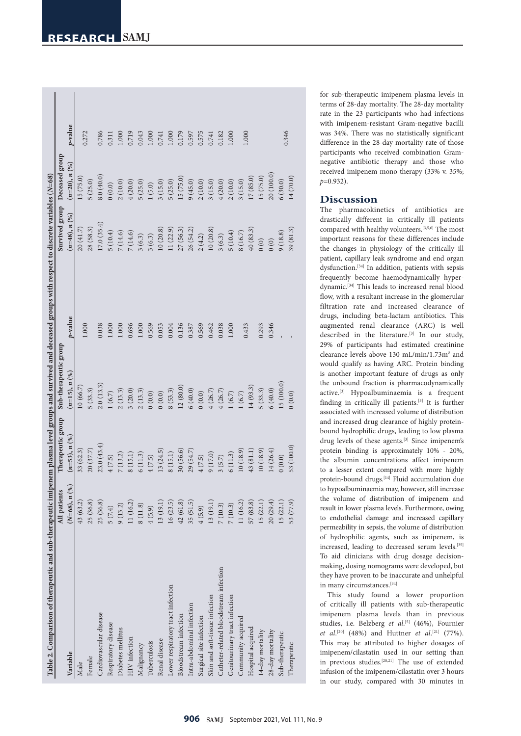| Table 2. Comparison of therapeutic and sub-therapeutic imipenem plasma level groups and survived and deceased groups with respect to discrete variables (N=68) |                   |                   |                       |            |                               |                 |         |
|----------------------------------------------------------------------------------------------------------------------------------------------------------------|-------------------|-------------------|-----------------------|------------|-------------------------------|-----------------|---------|
|                                                                                                                                                                | All patients      | Therapeutic group | Sub-therapeutic group |            | Survived group Deceased group |                 |         |
| Variable                                                                                                                                                       | $(N=68)$ , $n(%)$ | $(n=53), n (%)$   | $(n=15), n (%)$       | $p$ -value | $(n=48), n (%)$               | $(n=20), n (%)$ | p-value |
| Male                                                                                                                                                           | 43 (63.2)         | 33(62.3)          | 10(66.7)              | 1.000      | 20(41.7)                      | (5(75.0)        | 0.272   |
| Female                                                                                                                                                         | 25(36.8)          | 20 (37.7)         | 5(33.3)               |            | 28 (58.3)                     | 5(25.0)         |         |
| Cardiovascular disease                                                                                                                                         | 25(36.8)          | 23.0(43.4)        | 2.0(13.3)             | 0.38       | 17.0(35.4)                    | 8.0(40.0)       | 0.786   |
| Respiratory disease                                                                                                                                            | 5(7.4)            | 4(7.5)            | 1(6.7)                | 000.1      | 5(10.4)                       | (0.0)           | 0.311   |
| Diabetes mellitus                                                                                                                                              | 9(13.2)           | 7(13.2)           | 2(13.3)               | $000$ .    | 7(14.6)                       | 2(10.0)         | 000.1   |
| HIV infection                                                                                                                                                  | 11 (16.2)         | 8(15.1)           | 3(20.0)               | 0.696      | 7(14.6)                       | 4(20.0)         | 0.719   |
| Malignancy                                                                                                                                                     | 8(11.8)           | 6(11.3)           | 2(13.3)               | 1.000      | 3(6.3)                        | 5(25.0)         | 0.043   |
| Tuberculosis                                                                                                                                                   | 4(5.9)            | 4(7.5)            | (0.0)                 | 0.569      | 3(6.3)                        | (5.0)           | 1.000   |
| Renal disease                                                                                                                                                  | 13 (19.1)         | (3(24.5))         | (0.0)                 | 0.053      | 10(20.8)                      | 3(15.0)         | 0.741   |
| Lower respiratory tract infection                                                                                                                              | 16(23.5)          | 8(15.1)           | 8(53.3)               | 0.004      | (1(22.9))                     | 5(25.0)         | 1.000   |
| Bloodstream infection                                                                                                                                          | 42(61.8)          | 30 (56.6)         | 12(80.0)              | 0.136      | 27 (56.3)                     | [5 (75.0)       | 0.179   |
| Intra-abdominal infection                                                                                                                                      | 35(51.5)          | 29 (54.7)         | 6(40.0)               | 0.387      | 26 (54.2)                     | 9(45.0)         | 0.597   |
| Surgical site infection                                                                                                                                        | 4(5.9)            | 4(7.5)            | (0.0)                 | 0.569      | 2(4.2)                        | 2(10.0)         | 0.575   |
| Skin and soft-tissue infection                                                                                                                                 | 13 (19.1)         | 9(17.0)           | 4(26.7)               | 0.462      | 10(20.8)                      | 3(15.0)         | 0.741   |
| Catheter-related bloodstream infection                                                                                                                         | 7(10.3)           | 3(5.7)            | 4(26.7)               | 0.038      | 3(6.3)                        | (20.0)          | 0.182   |
| Genitourinary tract infection                                                                                                                                  | 7(10.3)           | 6(11.3)           | 1(6.7)                | 1.000      | 5(10.4)                       | 2(10.0)         | 1.000   |
| Community acquired                                                                                                                                             | 11 (16.2)         | 10(18.9)          | 1(6.7)                | 0.433      | 8(16.7)                       | 3(15.0)         | 1.000   |
| Hospital acquired                                                                                                                                              | 57 (83.8)         | 43 (81.1)         | 14(93.3)              |            | 40(83.3)                      | 17(85.0)        |         |
| 14-day mortality                                                                                                                                               | 15(22.1)          | 10(18.9)          | 5(33.3)               | 0.293      | (0)                           | 15(75.0)        |         |
| 28-day mortality                                                                                                                                               | 20(29.4)          | 14(26.4)          | 6(40.0)               | 0.346      | (0)                           | 20 (100.0)      |         |
| Sub-therapeutic                                                                                                                                                | 15(22.1)          | 0(0.0)            | .5(100.0)             |            | 9(18.8)                       | 6(30.0)         | 0.346   |
| Therapeutic                                                                                                                                                    | 53 (77.9)         | 53 (100.0)        | (0.0) 0               |            | 39(81.3)                      | 14 (70.0)       |         |
|                                                                                                                                                                |                   |                   |                       |            |                               |                 |         |

for sub-therapeutic imipenem plasma levels in terms of 28-day mortality. The 28-day mortality rate in the 23 participants who had infections with imipenem-resistant Gram-negative bacilli was 34%. There was no statistically significant difference in the 28-day mortality rate of those participants who received combination Gramnegative antibiotic therapy and those who received imipenem mono therapy (33% v. 35%; *p*=0.932).

## **Discussion**

The pharmacokinetics of antibiotics are drastically different in critically ill patients compared with healthy volunteers.[3,5,6] The most important reasons for these differences include the changes in physiology of the critically ill patient, capillary leak syndrome and end organ dysfunction.[34] In addition, patients with sepsis frequently become haemodynamically hyperdynamic.[34] This leads to increased renal blood flow, with a resultant increase in the glomerular filtration rate and increased clearance of drugs, including beta-lactam antibiotics. This augmented renal clearance (ARC) is well described in the literature.<sup>[3]</sup> In our study, 29% of participants had estimated creatinine clearance levels above 130 mL/min/1.73m<sup>3</sup> and would qualify as having ARC. Protein binding is another important feature of drugs as only the unbound fraction is pharmacodynamically active.[3] Hypoalbuminaemia is a frequent finding in critically ill patients.[3] It is further associated with increased volume of distribution and increased drug clearance of highly proteinbound hydrophilic drugs, leading to low plasma drug levels of these agents.[3] Since imipenem's protein binding is approximately 10% - 20%, the albumin concentrations affect imipenem to a lesser extent compared with more highly protein-bound drugs.<sup>[14]</sup> Fluid accumulation due to hypoalbuminaemia may, however, still increase the volume of distribution of imipenem and result in lower plasma levels. Furthermore, owing to endothelial damage and increased capillary permeability in sepsis, the volume of distribution of hydrophilic agents, such as imipenem, is increased, leading to decreased serum levels.<sup>[35]</sup> To aid clinicians with drug dosage decisionmaking, dosing nomograms were developed, but they have proven to be inaccurate and unhelpful in many circumstances.[34]

This study found a lower proportion of critically ill patients with sub-therapeutic imipenem plasma levels than in previous studies, i.e. Belzberg et al.<sup>[5]</sup> (46%), Fournier *et al.*<sup>[20]</sup> (48%) and Huttner *et al.*<sup>[21]</sup> (77%). This may be attributed to higher dosages of imipenem/cilastatin used in our setting than in previous studies.[20,21] The use of extended infusion of the imipenem/cilastatin over 3 hours in our study, compared with 30 minutes in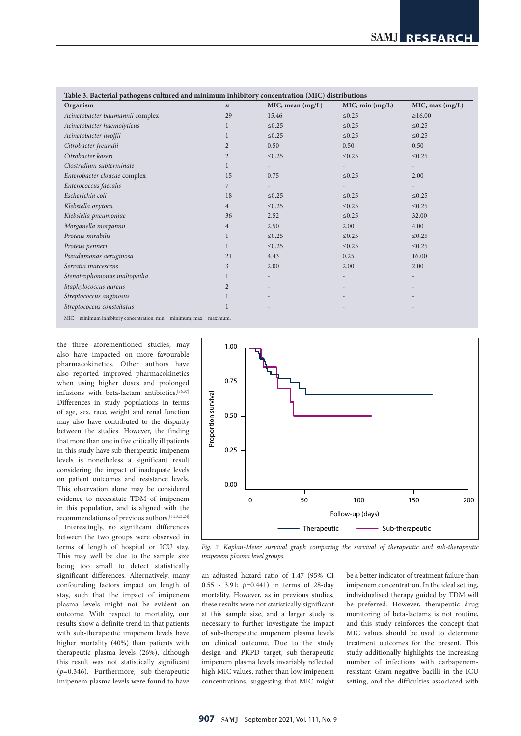| Organism                        | $\boldsymbol{n}$ | MIC, mean (mg/L) | MIC, min (mg/L) | MIC, max (mg/L) |
|---------------------------------|------------------|------------------|-----------------|-----------------|
| Acinetobacter baumannii complex | 29               | 15.46            | $\leq 0.25$     | $\geq 16.00$    |
| Acinetobacter haemolyticus      | 1                | $\leq 0.25$      | $\leq 0.25$     | $\leq 0.25$     |
| Acinetobacter iwoffii           | 1                | $\leq 0.25$      | $\leq 0.25$     | $\leq 0.25$     |
| Citrobacter freundii            | $\overline{2}$   | 0.50             | 0.50            | 0.50            |
| Citrobacter koseri              | $\overline{2}$   | $\leq 0.25$      | $\leq 0.25$     | $\leq 0.25$     |
| Clostridium subterminale        | $\mathbf{1}$     |                  |                 |                 |
| Enterobacter cloacae complex    | 15               | 0.75             | $\leq 0.25$     | 2.00            |
| Enterococcus faecalis           | 7                |                  |                 |                 |
| Escherichia coli                | 18               | $\leq 0.25$      | $\leq 0.25$     | $\leq 0.25$     |
| Klebsiella oxytoca              | $\overline{4}$   | $\leq 0.25$      | $\leq 0.25$     | $\leq 0.25$     |
| Klebsiella pneumoniae           | 36               | 2.52             | $≤0.25$         | 32.00           |
| Morganella morgannii            | $\overline{4}$   | 2.50             | 2.00            | 4.00            |
| Proteus mirabilis               | 1                | $\leq 0.25$      | $\leq 0.25$     | $\leq 0.25$     |
| Proteus penneri                 | 1                | $\leq 0.25$      | $\leq 0.25$     | $\leq 0.25$     |
| Pseudomonas aeruginosa          | 21               | 4.43             | 0.25            | 16.00           |
| Serratia marcescens             | 3                | 2.00             | 2.00            | 2.00            |
| Stenotrophomonas maltophilia    | $\mathbf{1}$     |                  |                 |                 |
| Staphylococcus aureus           | $\overline{2}$   |                  |                 |                 |
| Streptococcus anginosus         |                  |                  |                 |                 |
| Streptococcus constellatus      | 1                |                  |                 |                 |

MIC = minimum inhibitory concentration; min = minimum; max = maximum.

the three aforementioned studies, may also have impacted on more favourable pharmacokinetics. Other authors have also reported improved pharmacokinetics when using higher doses and prolonged infusions with beta-lactam antibiotics.[36,37] Differences in study populations in terms of age, sex, race, weight and renal function may also have contributed to the disparity between the studies. However, the finding that more than one in five critically ill patients in this study have sub-therapeutic imipenem levels is nonetheless a significant result considering the impact of inadequate levels on patient outcomes and resistance levels. This observation alone may be considered evidence to necessitate TDM of imipenem in this population, and is aligned with the recommendations of previous authors.[5,20,21,24]

Interestingly, no significant differences between the two groups were observed in terms of length of hospital or ICU stay. This may well be due to the sample size being too small to detect statistically significant differences. Alternatively, many confounding factors impact on length of stay, such that the impact of imipenem plasma levels might not be evident on outcome. With respect to mortality, our results show a definite trend in that patients with sub-therapeutic imipenem levels have higher mortality (40%) than patients with therapeutic plasma levels (26%), although this result was not statistically significant (*p*=0.346). Furthermore, sub-therapeutic imipenem plasma levels were found to have



*Fig. 2. Kaplan-Meier survival graph comparing the survival of therapeutic and sub-therapeutic imipenem plasma level groups.*

an adjusted hazard ratio of 1.47 (95% CI 0.55 - 3.91; *p*=0.441) in terms of 28-day mortality. However, as in previous studies, these results were not statistically significant at this sample size, and a larger study is necessary to further investigate the impact of sub-therapeutic imipenem plasma levels on clinical outcome. Due to the study design and PKPD target, sub-therapeutic imipenem plasma levels invariably reflected high MIC values, rather than low imipenem concentrations, suggesting that MIC might

be a better indicator of treatment failure than imipenem concentration. In the ideal setting, individualised therapy guided by TDM will be preferred. However, therapeutic drug monitoring of beta-lactams is not routine, and this study reinforces the concept that MIC values should be used to determine treatment outcomes for the present. This study additionally highlights the increasing number of infections with carbapenemresistant Gram-negative bacilli in the ICU setting, and the difficulties associated with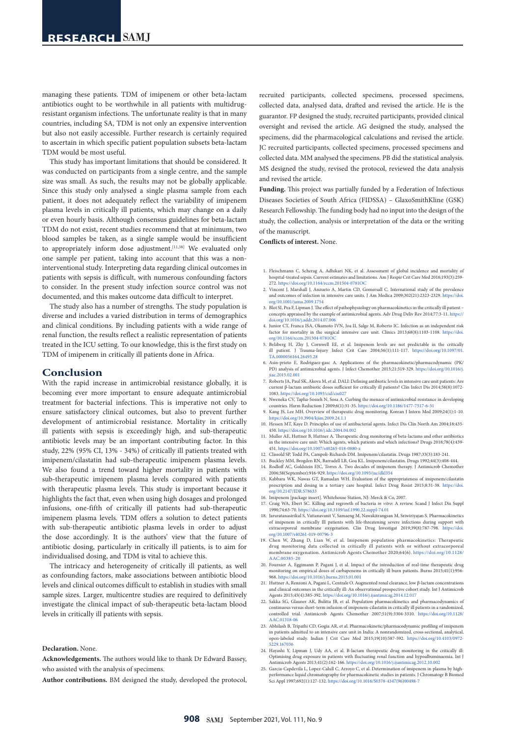managing these patients. TDM of imipenem or other beta-lactam antibiotics ought to be worthwhile in all patients with multidrugresistant organism infections. The unfortunate reality is that in many countries, including SA, TDM is not only an expensive intervention but also not easily accessible. Further research is certainly required to ascertain in which specific patient population subsets beta-lactam TDM would be most useful.

This study has important limitations that should be considered. It was conducted on participants from a single centre, and the sample size was small. As such, the results may not be globally applicable. Since this study only analysed a single plasma sample from each patient, it does not adequately reflect the variability of imipenem plasma levels in critically ill patients, which may change on a daily or even hourly basis. Although consensus guidelines for beta-lactam TDM do not exist, recent studies recommend that at minimum, two blood samples be taken, as a single sample would be insufficient to appropriately inform dose adjustment. [11,38] We evaluated only one sample per patient, taking into account that this was a noninterventional study. Interpreting data regarding clinical outcomes in patients with sepsis is difficult, with numerous confounding factors to consider. In the present study infection source control was not documented, and this makes outcome data difficult to interpret.

The study also has a number of strengths. The study population is diverse and includes a varied distribution in terms of demographics and clinical conditions. By including patients with a wide range of renal function, the results reflect a realistic representation of patients treated in the ICU setting. To our knowledge, this is the first study on TDM of imipenem in critically ill patients done in Africa.

### **Conclusion**

With the rapid increase in antimicrobial resistance globally, it is becoming ever more important to ensure adequate antimicrobial treatment for bacterial infections. This is imperative not only to ensure satisfactory clinical outcomes, but also to prevent further development of antimicrobial resistance. Mortality in critically ill patients with sepsis is exceedingly high, and sub-therapeutic antibiotic levels may be an important contributing factor. In this study, 22% (95% CI, 13% - 34%) of critically ill patients treated with imipenem/cilastatin had sub-therapeutic imipenem plasma levels. We also found a trend toward higher mortality in patients with sub-therapeutic imipenem plasma levels compared with patients with therapeutic plasma levels. This study is important because it highlights the fact that, even when using high dosages and prolonged infusions, one-fifth of critically ill patients had sub-therapeutic imipenem plasma levels. TDM offers a solution to detect patients with sub-therapeutic antibiotic plasma levels in order to adjust the dose accordingly. It is the authors' view that the future of antibiotic dosing, particularly in critically ill patients, is to aim for individualised dosing, and TDM is vital to achieve this.

The intricacy and heterogeneity of critically ill patients, as well as confounding factors, make associations between antibiotic blood levels and clinical outcomes difficult to establish in studies with small sample sizes. Larger, multicentre studies are required to definitively investigate the clinical impact of sub-therapeutic beta-lactam blood levels in critically ill patients with sepsis.

#### **Declaration.** None.

**Acknowledgements.** The authors would like to thank Dr Edward Bassey, who assisted with the analysis of specimens.

**Author contributions.** BM designed the study, developed the protocol,

recruited participants, collected specimens, processed specimens, collected data, analysed data, drafted and revised the article. He is the guarantor. FP designed the study, recruited participants, provided clinical oversight and revised the article. AG designed the study, analysed the specimens, did the pharmacological calculations and revised the article. JC recruited participants, collected specimens, processed specimens and collected data. MM analysed the specimens. PB did the statistical analysis. MS designed the study, revised the protocol, reviewed the data analysis and revised the article.

**Funding.** This project was partially funded by a Federation of Infectious Diseases Societies of South Africa (FIDSSA) – GlaxoSmithKline (GSK) Research Fellowship. The funding body had no input into the design of the study, the collection, analysis or interpretation of the data or the writing of the manuscript.

**Conflicts of interest.** None.

- 1. Fleischmann C, Scherag A, Adhikari NK, et al. Assessment of global incidence and mortality of hospital-treated sepsis. Current estimates and limitations. Am J Respir Crit Care Med 2016;193(3):259- 272. <https://doi.org/10.1164/rccm.201504-0781OC>
- 2. Vincent J, Marshall J, Anzueto A, Martin CD, Gomersall C. International study of the prevalence and outcomes of infection in intensive care units. J Am Medica 2009;302(21):2323-2329. [https://doi.](https://doi.org/10.1001/jama.2009.1754) [org/10.1001/jama.2009.1754](https://doi.org/10.1001/jama.2009.1754)
- 3. Blot SI, Pea F, Lipman J. The effect of pathophysiology on pharmacokinetics in the critically ill patient concepts appraised by the example of antimicrobial agents. Adv Drug Deliv Rev 2014;77:3-11. [https://](https://doi.org/10.1016/j.addr.2014.07.006) [doi.org/10.1016/j.addr.2014.07.006](https://doi.org/10.1016/j.addr.2014.07.006)
- 4. Junior CT, Franca ISA, Okamoto IVN, Joa II, Salge M, Roberto IC. Infection as an independent risk factor for mortality in the surgical intensive care unit. Clinics 2013;68(8):1103-1108. [https://doi.](https://doi.org/10.1164/rccm.201504-0781OC) [org/10.1164/rccm.201504-0781OC](https://doi.org/10.1164/rccm.201504-0781OC)
- 5. Belzberg H, Zhy J, Cornwell EE, et al. Imipenem levels are not predictable in the critically ill patient. J Trauma-Injury Infect Crit Care 2004;56(1):111-117. [https://doi.org/10.1097/01.](https://doi.org/10.1097/01.TA.0000056164.26493.28) [TA.0000056164.26493.28](https://doi.org/10.1097/01.TA.0000056164.26493.28)
- 6. Asín-prieto E, Rodríguez-gasc A. Applications of the pharmacokinetic/pharmacodynamic (PK/ PD) analysis of antimicrobial agents. J Infect Chemother 2015;21:319-329. [https://doi.org/10.1016/j.](https://doi.org/10.1016/j.jiac.2015.02.001) [jiac.2015.02.001](https://doi.org/10.1016/j.jiac.2015.02.001)
- 7. Roberts JA, Paul SK, Akova M, et al. DALI: Defining antibiotic levels in intensive care unit patients: Are current β-lactam antibiotic doses sufficient for critically ill patients? Clin Infect Dis 2014;58(8):1072- 1083. <https://doi.org/10.1093/cid/ciu027>
- 8. Nweneka CV, Tapha-Sosseh N, Sosa A. Curbing the menace of antimicrobial resistance in developing countries. Harm Reduction J 2009;6(1):31-35.<https://doi.org/10.1186/1477-7517-6-31>
- 9. Kang JS, Lee MH. Overview of therapeutic drug monitoring. Korean J Intern Med 2009;24(1):1-10. <https://doi.org/10.3904/kjim.2009.24.1.1>
- 10. Hessen MT, Kaye D. Principles of use of antibacterial agents. Infect Dis Clin North Am 2004;18:435- 450. <https://doi.org/10.1016/j.idc.2004.04.002>
- 11. Muller AE, Huttner B, Huttner A. Therapeutic drug monitoring of beta-lactams and other antibiotics in the intensive care unit: Which agents, which patients and which infections? Drugs 2018;78(4):439- 451. <https://doi.org/10.1007/s40265-018-0880-z>
- 12. Clissold SP, Todd PA, Campoli-Richards DM. Imipenem/cilastatin. Drugs 1987;33(3):183-241.
- 13. Buckley MM, Brogden RN, Barradell LB, Goa KL. Imipenem/cilastatin. Drugs 1992;44(3):408-444. 14. Rodloff AC, Goldstein EJC, Torres A. Two decades of imipenem therapy. J Antimicrob Chemother 2006;58(September):916-929. <https://doi.org/10.1093/jac/dkl354>
- 15. Kabbara WK, Nawas GT, Ramadan WH. Evaluation of the appropriateness of imipenem/cilastatin prescription and dosing in a tertiary care hospital. Infect Drug Resist 2015;8:31-38. [https://doi.](https://doi.org/10.2147/IDR.S78633) [org/10.2147/IDR.S78633](https://doi.org/10.2147/IDR.S78633)

16. Imipenem [package insert]. Whitehouse Station, NJ: Merck & Co, 2007.

- 17. Craig WA, Ebert SC. Killing and regrowth of bacteria *in vitro*: A review. Scand J Infect Dis Suppl 1990;74:63-70. <https://doi.org/10.3109/inf.1990.22.suppl-74.01>
- 18. Jaruratanasirikul S, Vattanavanit V, Samaeng M, Nawakitrangsan M, Sriwiriyajan S. Pharmacokinetics of imipenem in critically Ill patients with life-threatening severe infections during support with extracorporeal membrane oxygenation. Clin Drug Investigat 2019;39(8):787-798. [https://doi.](https://doi.org/10.1007/s40261-019-00796-3) [org/10.1007/s40261-019-00796-3](https://doi.org/10.1007/s40261-019-00796-3)
- 19. Chen W, Zhang D, Lian W, et al. Imipenem population pharmacokinetics: Therapeutic drug monitoring data collected in critically ill patients with or without extracorp membrane oxygenation. Antimicrob Agents Chemother 2020;64(6). [https://doi.org/10.1128/](https://doi.org/10.1128/AAC.00385-20) AAC.00385-2
- 20. Fournier A, Eggimann P, Pagani J, et al. Impact of the introduction of real-time therapeutic drug monitoring on empirical doses of carbapenems in critically ill burn patients. Burns 2015;41(1):956- 968. <https://doi.org/10.1016/j.burns.2015.01.001>
- 21. Huttner A, Renzoni A, Pagani L, Centrale O. Augmented renal clearance, low β-lactam concentrations and clinical outcomes in the critically ill: An observational prospective cohort study. Int J Antimicrob Agents 2015;45(4):385-392.<https://doi.org/10.1016/j.ijantimicag.2014.12.017> 22. Sakka SG, Glauner AK, Bulitta JB, et al. Population pharmacokinetics and pharmacodynamics of
- continuous versus short-term infusion of imipenem-cilastatin in critically ill patients in a randomized, controlled trial. Antimicrob Agents Chemother 2007;51(9):3304-3310. [https://doi.org/10.1128/](https://doi.org/10.1128/AAC.01318-06) [AAC.01318-06](https://doi.org/10.1128/AAC.01318-06)
- 23. Abhilash B, Tripathi CD, Gogia AR, et al. Pharmacokinetic/pharmacodynamic profiling of imipenem in patients admitted to an intensive care unit in India: A nonrandomized, cross-sectional, analytical, open-labeled study. Indian J Crit Care Med 2015;19(10):587-592. [https://doi.org/10.4103/0972-](https://doi.org/10.4103/0972-5229.167036) [5229.167036](https://doi.org/10.4103/0972-5229.167036)
- 24. Hayashi Y, Lipman J, Udy AA, et al. B-lactam therapeutic drug monitoring in the critically ill: Optimising drug exposure in patients with fluctuating renal function and hypoalbuminaemia. Int J Antimicrob Agents 2013;41(2):162-166.<https://doi.org/10.1016/j.ijantimicag.2012.10.002>
- 25. Garcia-Capdevila L, Lopez-Calull C, Arroyo C, et al. Determination of imipenem in plasma by high-performance liquid chromatography for pharmacokinetic studies in patients. J Chromatogr B Biomed Sci Appl 1997;692(1):127-132. [https://doi.org/](https://doi.org/10.1016/S0378-4347(96)00498-7)10.1016/S0378-4347(96)00498-7